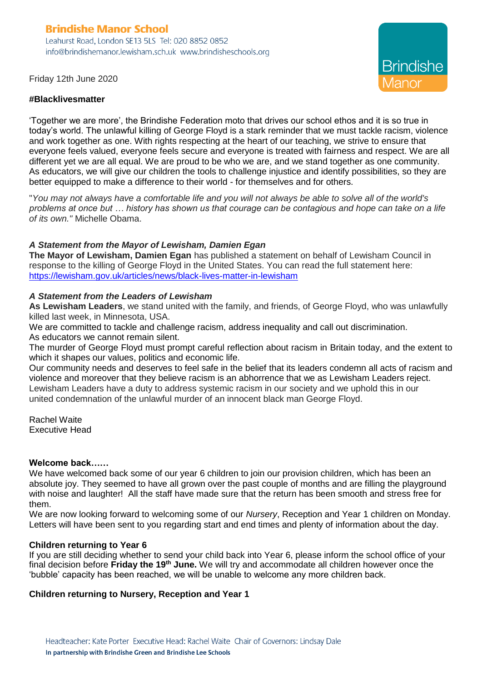# **Brindishe Manor School**

Leahurst Road, London SE13 5LS Tel: 020 8852 0852 info@brindishemanor.lewisham.sch.uk www.brindisheschools.org

**Brindishe** 

Friday 12th June 2020

#### **#Blacklivesmatter**

'Together we are more', the Brindishe Federation moto that drives our school ethos and it is so true in today's world. The unlawful killing of George Floyd is a stark reminder that we must tackle racism, violence and work together as one. With rights respecting at the heart of our teaching, we strive to ensure that everyone feels valued, everyone feels secure and everyone is treated with fairness and respect. We are all different yet we are all equal. We are proud to be who we are, and we stand together as one community. As educators, we will give our children the tools to challenge injustice and identify possibilities, so they are better equipped to make a difference to their world - for themselves and for others.

"*You may not always have a comfortable life and you will not always be able to solve all of the world's problems at once but … history has shown us that courage can be contagious and hope can take on a life of its own."* Michelle Obama.

### *A Statement from the Mayor of Lewisham, Damien Egan*

**The Mayor of Lewisham, Damien Egan** has published a statement on behalf of Lewisham Council in response to the killing of George Floyd in the United States. You can read the full statement here: <https://lewisham.gov.uk/articles/news/black-lives-matter-in-lewisham>

#### *A Statement from the Leaders of Lewisham*

**As Lewisham Leaders**, we stand united with the family, and friends, of George Floyd, who was unlawfully killed last week, in Minnesota, USA.

We are committed to tackle and challenge racism, address inequality and call out discrimination. As educators we cannot remain silent.

The murder of George Floyd must prompt careful reflection about racism in Britain today, and the extent to which it shapes our values, politics and economic life.

Our community needs and deserves to feel safe in the belief that its leaders condemn all acts of racism and violence and moreover that they believe racism is an abhorrence that we as Lewisham Leaders reject. Lewisham Leaders have a duty to address systemic racism in our society and we uphold this in our united condemnation of the unlawful murder of an innocent black man George Floyd.

Rachel Waite Executive Head

#### **Welcome back……**

We have welcomed back some of our year 6 children to join our provision children, which has been an absolute joy. They seemed to have all grown over the past couple of months and are filling the playground with noise and laughter! All the staff have made sure that the return has been smooth and stress free for them.

We are now looking forward to welcoming some of our *Nursery*, Reception and Year 1 children on Monday. Letters will have been sent to you regarding start and end times and plenty of information about the day.

#### **Children returning to Year 6**

If you are still deciding whether to send your child back into Year 6, please inform the school office of your final decision before **Friday the 19th June.** We will try and accommodate all children however once the 'bubble' capacity has been reached, we will be unable to welcome any more children back.

### **Children returning to Nursery, Reception and Year 1**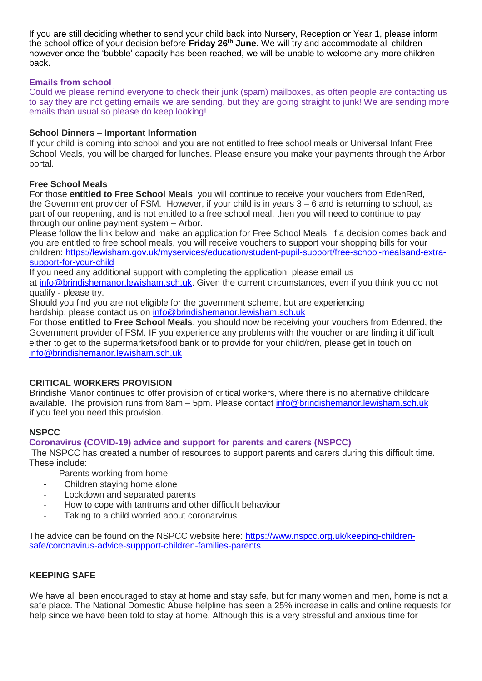If you are still deciding whether to send your child back into Nursery, Reception or Year 1, please inform the school office of your decision before **Friday 26th June.** We will try and accommodate all children however once the 'bubble' capacity has been reached, we will be unable to welcome any more children back.

## **Emails from school**

Could we please remind everyone to check their junk (spam) mailboxes, as often people are contacting us to say they are not getting emails we are sending, but they are going straight to junk! We are sending more emails than usual so please do keep looking!

## **School Dinners – Important Information**

If your child is coming into school and you are not entitled to free school meals or Universal Infant Free School Meals, you will be charged for lunches. Please ensure you make your payments through the Arbor portal.

### **Free School Meals**

For those **entitled to Free School Meals**, you will continue to receive your vouchers from EdenRed, the Government provider of FSM. However, if your child is in years 3 – 6 and is returning to school, as part of our reopening, and is not entitled to a free school meal, then you will need to continue to pay through our online payment system – Arbor.

Please follow the link below and make an application for Free School Meals. If a decision comes back and you are entitled to free school meals, you will receive vouchers to support your shopping bills for your children: [https://lewisham.gov.uk/myservices/education/student-pupil-support/free-school-mealsand-extra](https://lewisham.gov.uk/myservices/education/student-pupil-support/free-school-mealsand-extra-support-for-your-child)[support-for-your-child](https://lewisham.gov.uk/myservices/education/student-pupil-support/free-school-mealsand-extra-support-for-your-child)

If you need any additional support with completing the application, please email us

at [info@brindishemanor.lewisham.sch.uk.](mailto:info@brindishemanor.lewisham.sch.uk) Given the current circumstances, even if you think you do not qualify - please try.

Should you find you are not eligible for the government scheme, but are experiencing hardship, please contact us on [info@brindishemanor.lewisham.sch.uk](mailto:info@brindishemanor.lewisham.sch.uk)

For those **entitled to Free School Meals**, you should now be receiving your vouchers from Edenred, the Government provider of FSM. IF you experience any problems with the voucher or are finding it difficult either to get to the supermarkets/food bank or to provide for your child/ren, please get in touch on [info@brindishemanor.lewisham.sch.uk](mailto:info@brindishemanor.lewisham.sch.uk)

# **CRITICAL WORKERS PROVISION**

Brindishe Manor continues to offer provision of critical workers, where there is no alternative childcare available. The provision runs from 8am – 5pm. Please contact [info@brindishemanor.lewisham.sch.uk](mailto:info@brindishemanor.lewisham.sch.uk) if you feel you need this provision.

# **NSPCC**

# **Coronavirus (COVID-19) advice and support for parents and carers (NSPCC)**

The NSPCC has created a number of resources to support parents and carers during this difficult time. These include:

- Parents working from home
- Children staying home alone
- Lockdown and separated parents
- How to cope with tantrums and other difficult behaviour
- Taking to a child worried about coronarvirus

The advice can be found on the NSPCC website here: [https://www.nspcc.org.uk/keeping-children](https://www.nspcc.org.uk/keeping-children-safe/coronavirus-advice-suppport-children-families-parents)[safe/coronavirus-advice-suppport-children-families-parents](https://www.nspcc.org.uk/keeping-children-safe/coronavirus-advice-suppport-children-families-parents)

# **KEEPING SAFE**

We have all been encouraged to stay at home and stay safe, but for many women and men, home is not a safe place. The National Domestic Abuse helpline has seen a 25% increase in calls and online requests for help since we have been told to stay at home. Although this is a very stressful and anxious time for